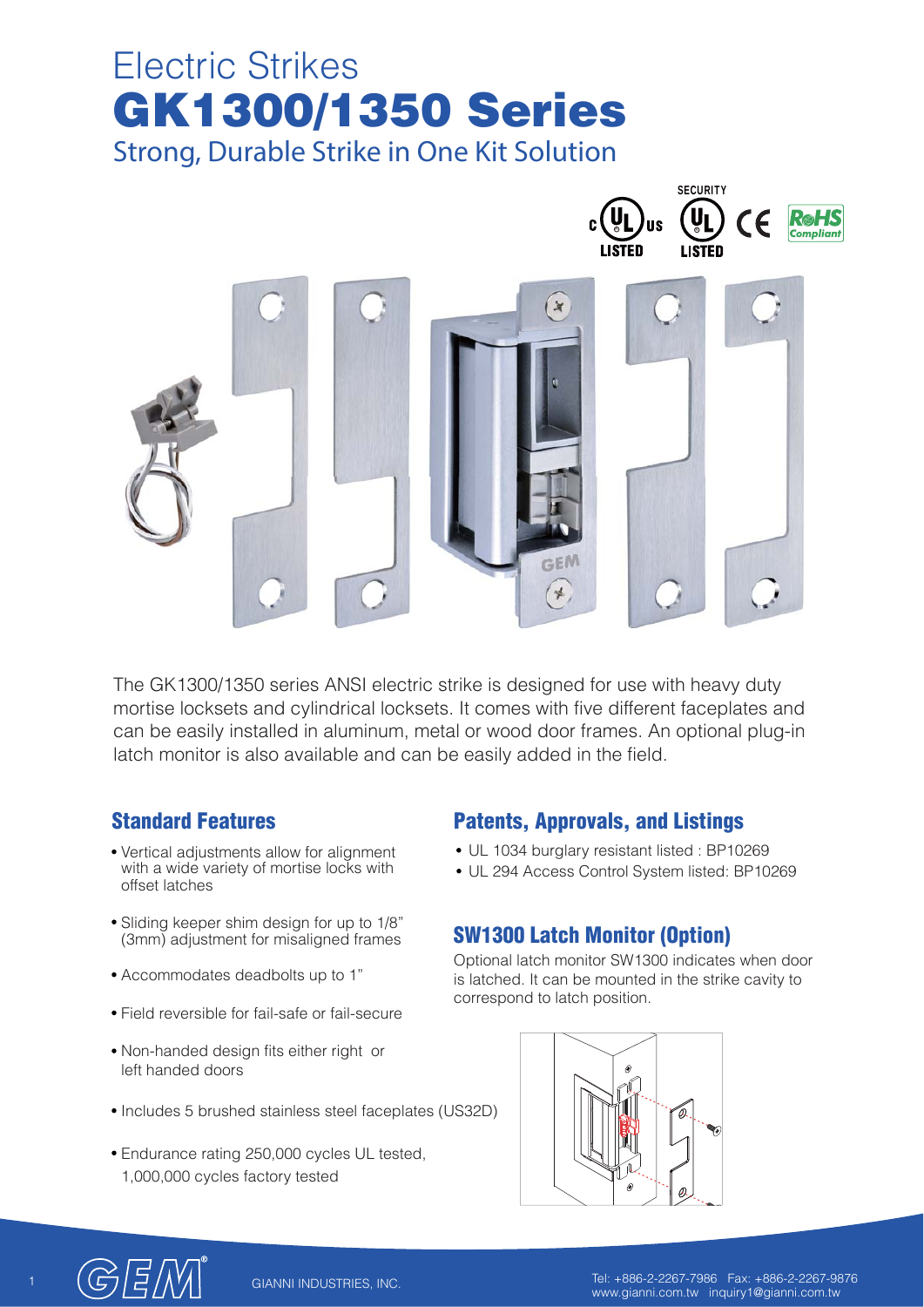# **GK1300/1350 Series** Electric Strikes **Strong, Durable Strike in One Kit Solution**



The GK1300/1350 series ANSI electric strike is designed for use with heavy duty mortise locksets and cylindrical locksets. It comes with five different faceplates and can be easily installed in aluminum, metal or wood door frames. An optional plug-in latch monitor is also available and can be easily added in the field.

# **Standard Features**

- Vertical adjustments allow for alignment with a wide variety of mortise locks with offset latches
- Sliding keeper shim design for up to 1/8" (3mm) adjustment for misaligned frames
- Accommodates deadbolts up to 1"
- Field reversible for fail-safe or fail-secure
- Non-handed design fits either right or left handed doors
- Includes 5 brushed stainless steel faceplates (US32D)
- Endurance rating 250,000 cycles UL tested, 1,000,000 cycles factory tested

# **Patents, Approvals, and Listings**

- UL 1034 burglary resistant listed : BP10269
- UL 294 Access Control System listed: BP10269

# **SW1300 Latch Monitor (Option)**

Optional latch monitor SW1300 indicates when door is latched. It can be mounted in the strike cavity to correspond to latch position.





1 Tel: +886-2-2267-7986 Fax: +886-2-2267-9876 www.gianni.com.tw inquiry1@gianni.com.tw